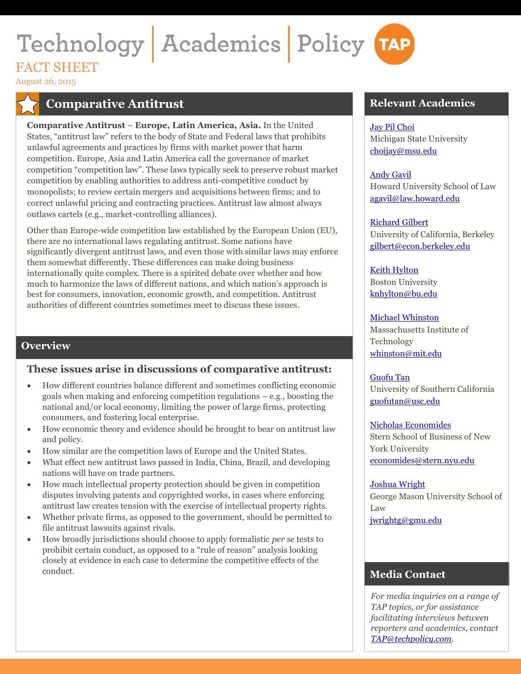# Technology Academics Policy TAP FACT SHEET

August 26, 2015

# **Comparative Antitrust**

**Comparative Antitrust** – **Europe, Latin America, Asia.** In the United States, "antitrust law" refers to the body of State and Federal laws that prohibits unlawful agreements and practices by firms with market power that harm competition. Europe, Asia and Latin America call the governance of market competition "competition law". These laws typically seek to preserve robust market competition by enabling authorities to address anti-competitive conduct by monopolists; to review certain mergers and acquisitions between firms; and to correct unlawful pricing and contracting practices. Antitrust law almost always outlaws cartels (e.g., market-controlling alliances).

Other than Europe-wide competition law established by the European Union (EU), there are no international laws regulating antitrust. Some nations have significantly divergent antitrust laws, and even those with similar laws may enforce them somewhat differently. These differences can make doing business internationally quite complex. There is a spirited debate over whether and how much to harmonize the laws of different nations, and which nation's approach is best for consumers, innovation, economic growth, and competition. Antitrust authorities of different countries sometimes meet to discuss these issues.

# **Overview**

# **These issues arise in discussions of comparative antitrust:**

- How different countries balance different and sometimes conflicting economic goals when making and enforcing competition regulations – e.g., boosting the national and/or local economy, limiting the power of large firms, protecting consumers, and fostering local enterprise.
- How economic theory and evidence should be brought to bear on antitrust law and policy.
- How similar are the competition laws of Europe and the United States.
- What effect new antitrust laws passed in India, China, Brazil, and developing nations will have on trade partners.
- How much intellectual property protection should be given in competition disputes involving patents and copyrighted works, in cases where enforcing antitrust law creates tension with the exercise of intellectual property rights.
- Whether private firms, as opposed to the government, should be permitted to file antitrust lawsuits against rivals.
- How broadly jurisdictions should choose to apply formalistic *per se* tests to prohibit certain conduct, as opposed to a "rule of reason" analysis looking closely at evidence in each case to determine the competitive effects of the conduct.

# **Relevant Academics**

#### [Jay Pil Choi](http://www.techpolicy.com/Academics/Jay-Pil-Choi.aspx)

Michigan State University [choijay@msu.edu](mailto:%20choijay@msu.edu)

#### [Andy Gavil](http://www.techpolicy.com/Academics/Andy-Gavil.aspx)

Howard University School of Law [agavil@law.howard.edu](mailto:%20agavil@law.howard.edu)

#### [Richard Gilbert](http://www.techpolicy.com/Academics/Rich-Gilbert.aspx)

University of California, Berkeley [gilbert@econ.berkeley.edu](mailto:%20gilbert@econ.berkeley.edu)

[Keith Hylton](http://www.techpolicy.com/Academics/Keith-Hylton.aspx) Boston University [knhylton@bu.edu](mailto:knhylton@bu.edu)

#### [Michael Whinston](http://www.techpolicy.com/Academics/Mike-Whinston.aspx)

Massachusetts Institute of Technology [whinston@mit.edu](mailto:whinston@mit.edu)

[Guofu](http://www.techpolicy.com/Academics/Tan.aspx) Tan University of Southern California [guofutan@usc.edu](mailto:%20guofutan@usc.edu)

Nicholas [Economides](http://www.techpolicy.com/Academics/Nick-Economides.aspx) Stern School of Business of New York University [economides@stern.nyu.edu](mailto:%20economides@stern.nyu.edu) 

#### [Joshua](http://www.techpolicy.com/Academics/Josh-Wright.aspx) Wright George Mason University School of Law [jwrightg@gmu.edu](mailto:%20jwrightg@gmu.edu)

# **Media Contact**

*For media inquiries on a range of TAP topics, or for assistance facilitating interviews between reporters and academics, contact [TAP@techpolicy.com.](mailto:TAP@techpolicy.com)*